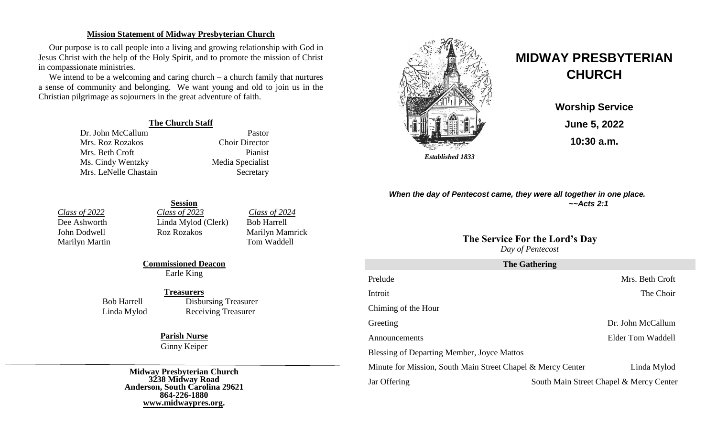#### **Mission Statement of Midway Presbyterian Church**

Our purpose is to call people into a living and growing relationship with God in Jesus Christ with the help of the Holy Spirit, and to promote the mission of Christ in compassionate ministries.

We intend to be a welcoming and caring church – a church family that nurtures a sense of community and belonging. We want young and old to join us in the Christian pilgrimage as sojourners in the great adventure of faith.

#### **The Church Staff**

Dr. John McCallum Pastor Mrs. Roz Rozakos Choir Director Mrs. Beth Croft Pianist Ms. Cindy Wentzky Media Specialist Mrs. LeNelle Chastain Secretary



# **MIDWAY PRESBYTERIAN CHURCH**

**Worship Service June 5, 2022 10:30 a.m.**

*When the day of Pentecost came, they were all together in one place. ~~Acts 2:1*

# **The Service For the Lord's Day**

*Day of Pentecost*

| <b>The Gathering</b>                                        |                                         |                   |  |  |
|-------------------------------------------------------------|-----------------------------------------|-------------------|--|--|
| Prelude                                                     |                                         | Mrs. Beth Croft   |  |  |
| Introit                                                     |                                         | The Choir         |  |  |
| Chiming of the Hour                                         |                                         |                   |  |  |
| Greeting                                                    |                                         | Dr. John McCallum |  |  |
| Announcements                                               |                                         | Elder Tom Waddell |  |  |
| <b>Blessing of Departing Member, Joyce Mattos</b>           |                                         |                   |  |  |
| Minute for Mission, South Main Street Chapel & Mercy Center |                                         | Linda Mylod       |  |  |
| Jar Offering                                                | South Main Street Chapel & Mercy Center |                   |  |  |

Marilyn Martin

**Session** *Class of 2022 Class of 2023 Class of 2024*<br>
Dee Ashworth **Class** *Class of 2024 Clerk Clerk Class of 2024* Linda Mylod (Clerk) Bob Harrell

John Dodwell Roz Rozakos Marilyn Mamrick<br>Marilyn Martin Tom Waddell

**Commissioned Deacon** Earle King

#### **Treasurers**

Bob Harrell Disbursing Treasurer Linda Mylod Receiving Treasurer

> **Parish Nurse** Ginny Keiper

**Midway Presbyterian Church 3238 Midway Road Anderson, South Carolina 29621 864-226-1880 [www.midwaypres.org.](http://www.midwaypres.org/)**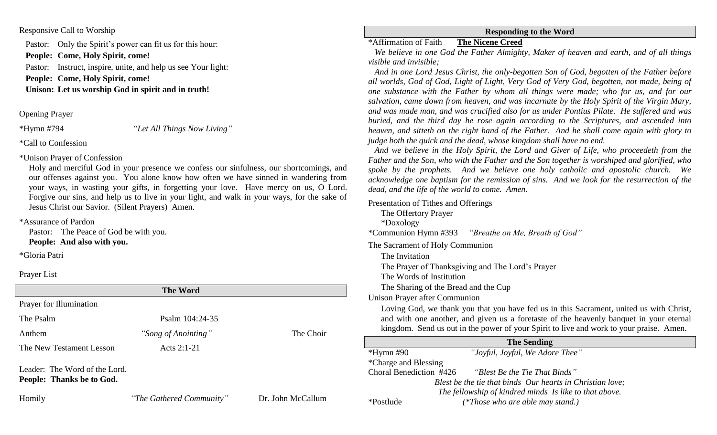### Responsive Call to Worship

Pastor: Only the Spirit's power can fit us for this hour:

**People: Come, Holy Spirit, come!**

Pastor: Instruct, inspire, unite, and help us see Your light:

**People: Come, Holy Spirit, come!**

**Unison: Let us worship God in spirit and in truth!**

Opening Prayer

\*Hymn #794 *"Let All Things Now Living"*

\*Call to Confession

\*Unison Prayer of Confession

Holy and merciful God in your presence we confess our sinfulness, our shortcomings, and our offenses against you. You alone know how often we have sinned in wandering from your ways, in wasting your gifts, in forgetting your love. Have mercy on us, O Lord. Forgive our sins, and help us to live in your light, and walk in your ways, for the sake of Jesus Christ our Savior. (Silent Prayers) Amen.

\*Assurance of Pardon

Pastor: The Peace of God be with you. **People: And also with you.**

\*Gloria Patri

Prayer List

| <b>The Word</b>                                            |                          |                   |  |  |
|------------------------------------------------------------|--------------------------|-------------------|--|--|
| Prayer for Illumination                                    |                          |                   |  |  |
| The Psalm                                                  | Psalm 104:24-35          |                   |  |  |
| Anthem                                                     | "Song of Anointing"      | The Choir         |  |  |
| The New Testament Lesson                                   | Acts $2:1-21$            |                   |  |  |
| Leader: The Word of the Lord.<br>People: Thanks be to God. |                          |                   |  |  |
| Homily                                                     | "The Gathered Community" | Dr. John McCallum |  |  |

## **Responding to the Word**

# \*Affirmation of Faith**The Nicene Creed**

 *We believe in one God the Father Almighty, Maker of heaven and earth, and of all things visible and invisible;*

 *And in one Lord Jesus Christ, the only-begotten Son of God, begotten of the Father before all worlds, God of God, Light of Light, Very God of Very God, begotten, not made, being of one substance with the Father by whom all things were made; who for us, and for our salvation, came down from heaven, and was incarnate by the Holy Spirit of the Virgin Mary, and was made man, and was crucified also for us under Pontius Pilate. He suffered and was buried, and the third day he rose again according to the Scriptures, and ascended into heaven, and sitteth on the right hand of the Father. And he shall come again with glory to judge both the quick and the dead, whose kingdom shall have no end.*

 *And we believe in the Holy Spirit, the Lord and Giver of Life, who proceedeth from the Father and the Son, who with the Father and the Son together is worshiped and glorified, who spoke by the prophets. And we believe one holy catholic and apostolic church. We acknowledge one baptism for the remission of sins. And we look for the resurrection of the dead, and the life of the world to come. Amen.*

Presentation of Tithes and Offerings

The Offertory Prayer \*Doxology

\*Communion Hymn #393 *"Breathe on Me, Breath of God"* 

The Sacrament of Holy Communion

The Invitation

The Prayer of Thanksgiving and The Lord's Prayer

The Words of Institution

The Sharing of the Bread and the Cup

Unison Prayer after Communion

Loving God, we thank you that you have fed us in this Sacrament, united us with Christ, and with one another, and given us a foretaste of the heavenly banquet in your eternal kingdom. Send us out in the power of your Spirit to live and work to your praise. Amen.

| <b>The Sending</b>      |  |                                                           |
|-------------------------|--|-----------------------------------------------------------|
| $*Hymn$ #90             |  | "Joyful, Joyful, We Adore Thee"                           |
| *Charge and Blessing    |  |                                                           |
| Choral Benediction #426 |  | "Blest Be the Tie That Binds"                             |
|                         |  | Blest be the tie that binds Our hearts in Christian love; |
|                         |  | The fellowship of kindred minds Is like to that above.    |
| *Postlude               |  | (*Those who are able may stand.)                          |